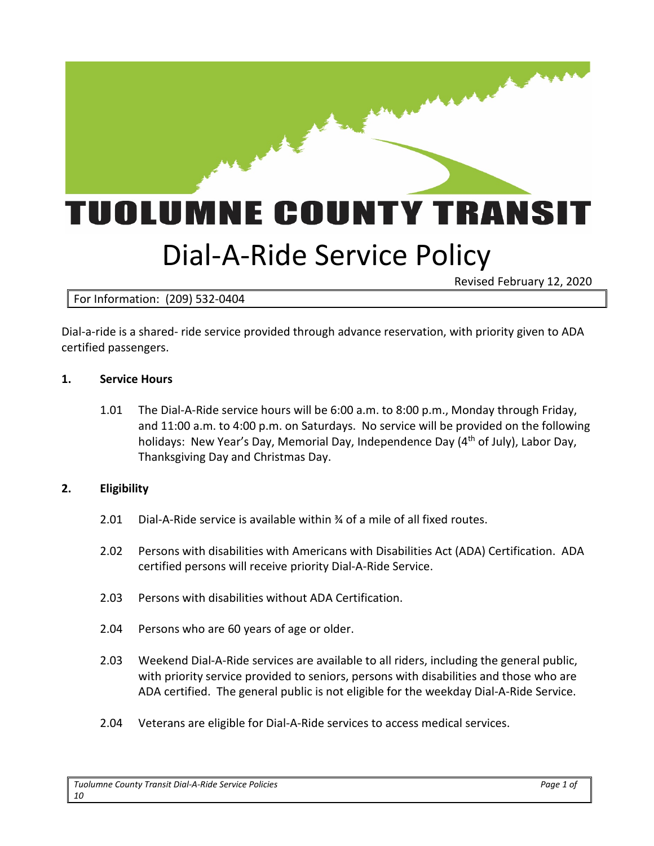

Revised February 12, 2020

# For Information: (209) 532-0404

Dial-a-ride is a shared- ride service provided through advance reservation, with priority given to ADA certified passengers.

#### **1. Service Hours**

1.01 The Dial-A-Ride service hours will be 6:00 a.m. to 8:00 p.m., Monday through Friday, and 11:00 a.m. to 4:00 p.m. on Saturdays. No service will be provided on the following holidays: New Year's Day, Memorial Day, Independence Day (4<sup>th</sup> of July), Labor Day, Thanksgiving Day and Christmas Day.

#### **2. Eligibility**

- 2.01 Dial-A-Ride service is available within  $\frac{3}{4}$  of a mile of all fixed routes.
- 2.02 Persons with disabilities with Americans with Disabilities Act (ADA) Certification. ADA certified persons will receive priority Dial-A-Ride Service.
- 2.03 Persons with disabilities without ADA Certification.
- 2.04 Persons who are 60 years of age or older.
- 2.03 Weekend Dial-A-Ride services are available to all riders, including the general public, with priority service provided to seniors, persons with disabilities and those who are ADA certified. The general public is not eligible for the weekday Dial-A-Ride Service.
- 2.04 Veterans are eligible for Dial-A-Ride services to access medical services.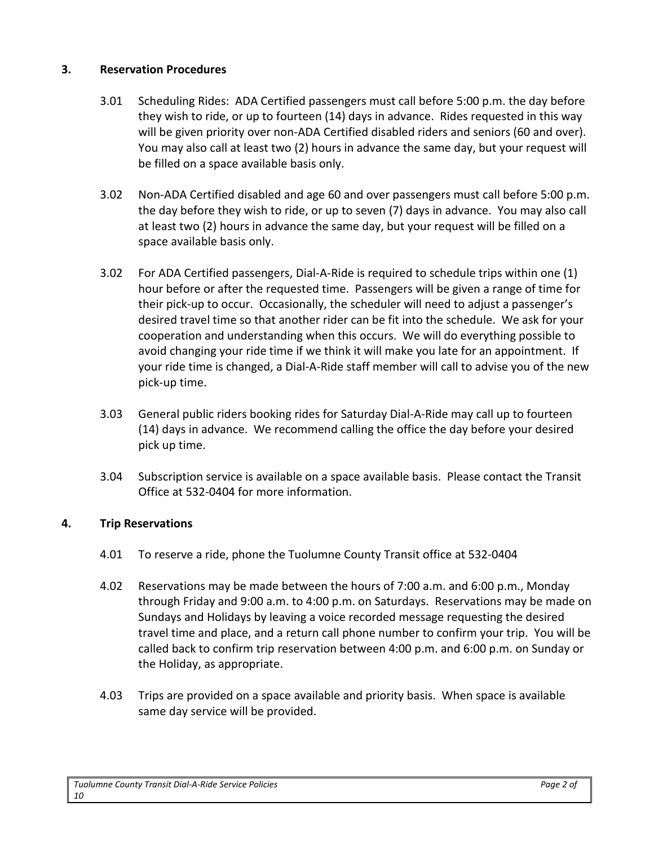### **3. Reservation Procedures**

- 3.01 Scheduling Rides: ADA Certified passengers must call before 5:00 p.m. the day before they wish to ride, or up to fourteen (14) days in advance. Rides requested in this way will be given priority over non-ADA Certified disabled riders and seniors (60 and over). You may also call at least two (2) hours in advance the same day, but your request will be filled on a space available basis only.
- 3.02 Non-ADA Certified disabled and age 60 and over passengers must call before 5:00 p.m. the day before they wish to ride, or up to seven (7) days in advance. You may also call at least two (2) hours in advance the same day, but your request will be filled on a space available basis only.
- 3.02 For ADA Certified passengers, Dial-A-Ride is required to schedule trips within one (1) hour before or after the requested time. Passengers will be given a range of time for their pick-up to occur. Occasionally, the scheduler will need to adjust a passenger's desired travel time so that another rider can be fit into the schedule. We ask for your cooperation and understanding when this occurs. We will do everything possible to avoid changing your ride time if we think it will make you late for an appointment. If your ride time is changed, a Dial-A-Ride staff member will call to advise you of the new pick-up time.
- 3.03 General public riders booking rides for Saturday Dial-A-Ride may call up to fourteen (14) days in advance. We recommend calling the office the day before your desired pick up time.
- 3.04 Subscription service is available on a space available basis. Please contact the Transit Office at 532-0404 for more information.

# **4. Trip Reservations**

- 4.01 To reserve a ride, phone the Tuolumne County Transit office at 532-0404
- 4.02 Reservations may be made between the hours of 7:00 a.m. and 6:00 p.m., Monday through Friday and 9:00 a.m. to 4:00 p.m. on Saturdays. Reservations may be made on Sundays and Holidays by leaving a voice recorded message requesting the desired travel time and place, and a return call phone number to confirm your trip. You will be called back to confirm trip reservation between 4:00 p.m. and 6:00 p.m. on Sunday or the Holiday, as appropriate.
- 4.03 Trips are provided on a space available and priority basis. When space is available same day service will be provided.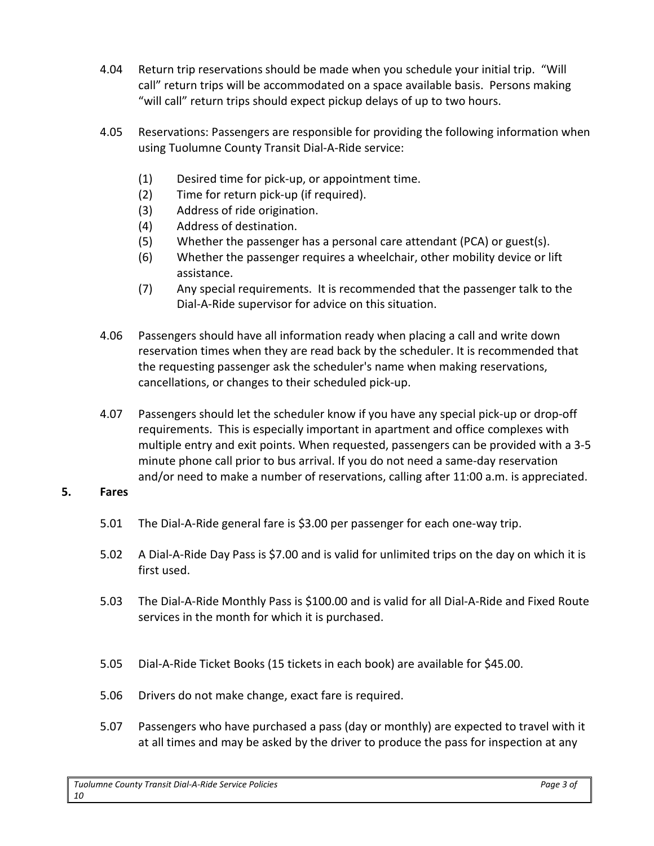- 4.04 Return trip reservations should be made when you schedule your initial trip. "Will call" return trips will be accommodated on a space available basis. Persons making "will call" return trips should expect pickup delays of up to two hours.
- 4.05 Reservations: Passengers are responsible for providing the following information when using Tuolumne County Transit Dial-A-Ride service:
	- (1) Desired time for pick-up, or appointment time.
	- (2) Time for return pick-up (if required).
	- (3) Address of ride origination.
	- (4) Address of destination.
	- (5) Whether the passenger has a personal care attendant (PCA) or guest(s).
	- (6) Whether the passenger requires a wheelchair, other mobility device or lift assistance.
	- (7) Any special requirements. It is recommended that the passenger talk to the Dial-A-Ride supervisor for advice on this situation.
- 4.06 Passengers should have all information ready when placing a call and write down reservation times when they are read back by the scheduler. It is recommended that the requesting passenger ask the scheduler's name when making reservations, cancellations, or changes to their scheduled pick-up.
- 4.07 Passengers should let the scheduler know if you have any special pick-up or drop-off requirements. This is especially important in apartment and office complexes with multiple entry and exit points. When requested, passengers can be provided with a 3-5 minute phone call prior to bus arrival. If you do not need a same-day reservation and/or need to make a number of reservations, calling after 11:00 a.m. is appreciated.

#### **5. Fares**

- 5.01 The Dial-A-Ride general fare is \$3.00 per passenger for each one-way trip.
- 5.02 A Dial-A-Ride Day Pass is \$7.00 and is valid for unlimited trips on the day on which it is first used.
- 5.03 The Dial-A-Ride Monthly Pass is \$100.00 and is valid for all Dial-A-Ride and Fixed Route services in the month for which it is purchased.
- 5.05 Dial-A-Ride Ticket Books (15 tickets in each book) are available for \$45.00.
- 5.06 Drivers do not make change, exact fare is required.
- 5.07 Passengers who have purchased a pass (day or monthly) are expected to travel with it at all times and may be asked by the driver to produce the pass for inspection at any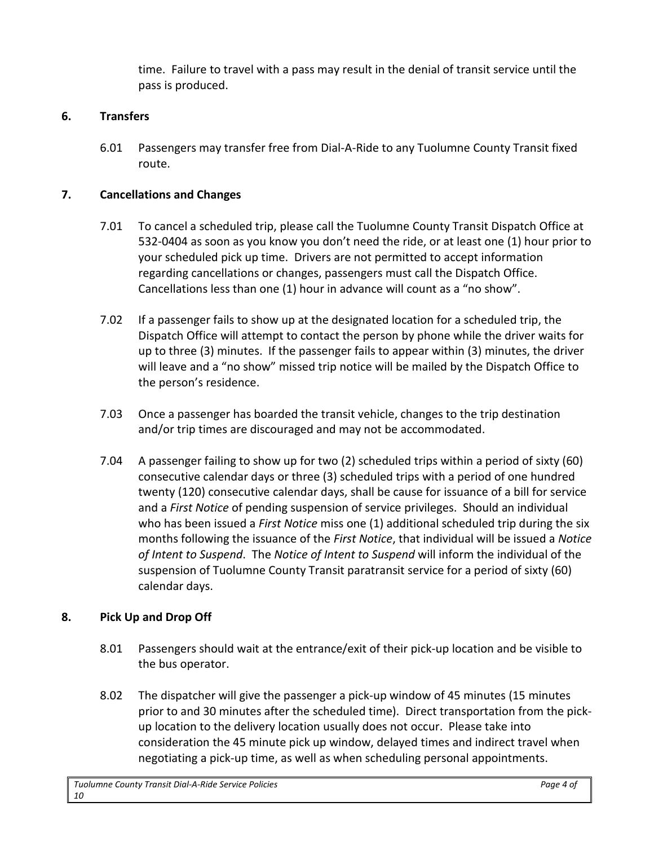time. Failure to travel with a pass may result in the denial of transit service until the pass is produced.

### **6. Transfers**

6.01 Passengers may transfer free from Dial-A-Ride to any Tuolumne County Transit fixed route.

### **7. Cancellations and Changes**

- 7.01 To cancel a scheduled trip, please call the Tuolumne County Transit Dispatch Office at 532-0404 as soon as you know you don't need the ride, or at least one (1) hour prior to your scheduled pick up time. Drivers are not permitted to accept information regarding cancellations or changes, passengers must call the Dispatch Office. Cancellations less than one (1) hour in advance will count as a "no show".
- 7.02 If a passenger fails to show up at the designated location for a scheduled trip, the Dispatch Office will attempt to contact the person by phone while the driver waits for up to three (3) minutes. If the passenger fails to appear within (3) minutes, the driver will leave and a "no show" missed trip notice will be mailed by the Dispatch Office to the person's residence.
- 7.03 Once a passenger has boarded the transit vehicle, changes to the trip destination and/or trip times are discouraged and may not be accommodated.
- 7.04 A passenger failing to show up for two (2) scheduled trips within a period of sixty (60) consecutive calendar days or three (3) scheduled trips with a period of one hundred twenty (120) consecutive calendar days, shall be cause for issuance of a bill for service and a *First Notice* of pending suspension of service privileges. Should an individual who has been issued a *First Notice* miss one (1) additional scheduled trip during the six months following the issuance of the *First Notice*, that individual will be issued a *Notice of Intent to Suspend*. The *Notice of Intent to Suspend* will inform the individual of the suspension of Tuolumne County Transit paratransit service for a period of sixty (60) calendar days.

# **8. Pick Up and Drop Off**

- 8.01 Passengers should wait at the entrance/exit of their pick-up location and be visible to the bus operator.
- 8.02 The dispatcher will give the passenger a pick-up window of 45 minutes (15 minutes prior to and 30 minutes after the scheduled time). Direct transportation from the pickup location to the delivery location usually does not occur. Please take into consideration the 45 minute pick up window, delayed times and indirect travel when negotiating a pick-up time, as well as when scheduling personal appointments.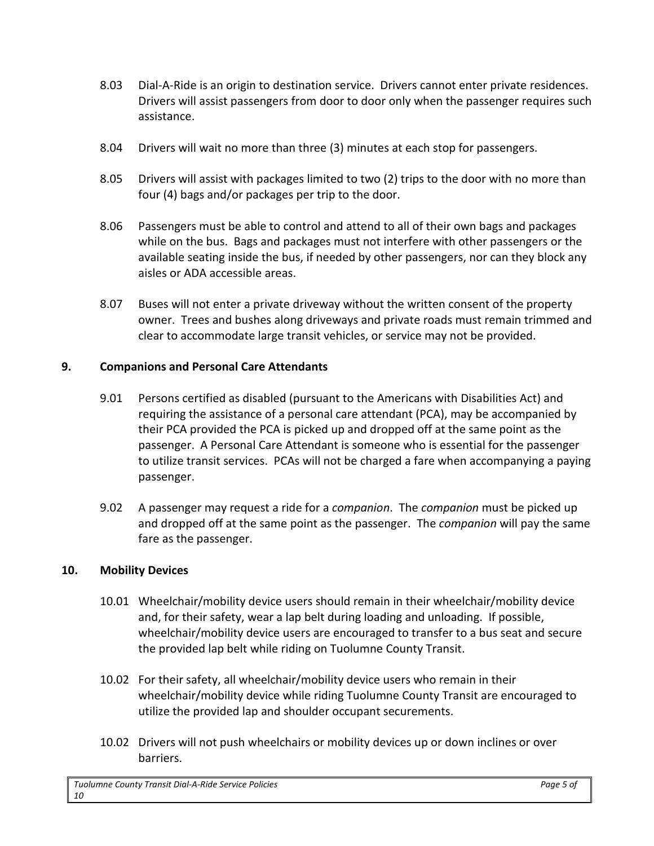- 8.03 Dial-A-Ride is an origin to destination service. Drivers cannot enter private residences. Drivers will assist passengers from door to door only when the passenger requires such assistance.
- 8.04 Drivers will wait no more than three (3) minutes at each stop for passengers.
- 8.05 Drivers will assist with packages limited to two (2) trips to the door with no more than four (4) bags and/or packages per trip to the door.
- 8.06 Passengers must be able to control and attend to all of their own bags and packages while on the bus. Bags and packages must not interfere with other passengers or the available seating inside the bus, if needed by other passengers, nor can they block any aisles or ADA accessible areas.
- 8.07 Buses will not enter a private driveway without the written consent of the property owner. Trees and bushes along driveways and private roads must remain trimmed and clear to accommodate large transit vehicles, or service may not be provided.

### **9. Companions and Personal Care Attendants**

- 9.01 Persons certified as disabled (pursuant to the Americans with Disabilities Act) and requiring the assistance of a personal care attendant (PCA), may be accompanied by their PCA provided the PCA is picked up and dropped off at the same point as the passenger. A Personal Care Attendant is someone who is essential for the passenger to utilize transit services. PCAs will not be charged a fare when accompanying a paying passenger.
- 9.02 A passenger may request a ride for a *companion*. The *companion* must be picked up and dropped off at the same point as the passenger. The *companion* will pay the same fare as the passenger.

#### **10. Mobility Devices**

- 10.01 Wheelchair/mobility device users should remain in their wheelchair/mobility device and, for their safety, wear a lap belt during loading and unloading. If possible, wheelchair/mobility device users are encouraged to transfer to a bus seat and secure the provided lap belt while riding on Tuolumne County Transit.
- 10.02 For their safety, all wheelchair/mobility device users who remain in their wheelchair/mobility device while riding Tuolumne County Transit are encouraged to utilize the provided lap and shoulder occupant securements.
- 10.02 Drivers will not push wheelchairs or mobility devices up or down inclines or over barriers.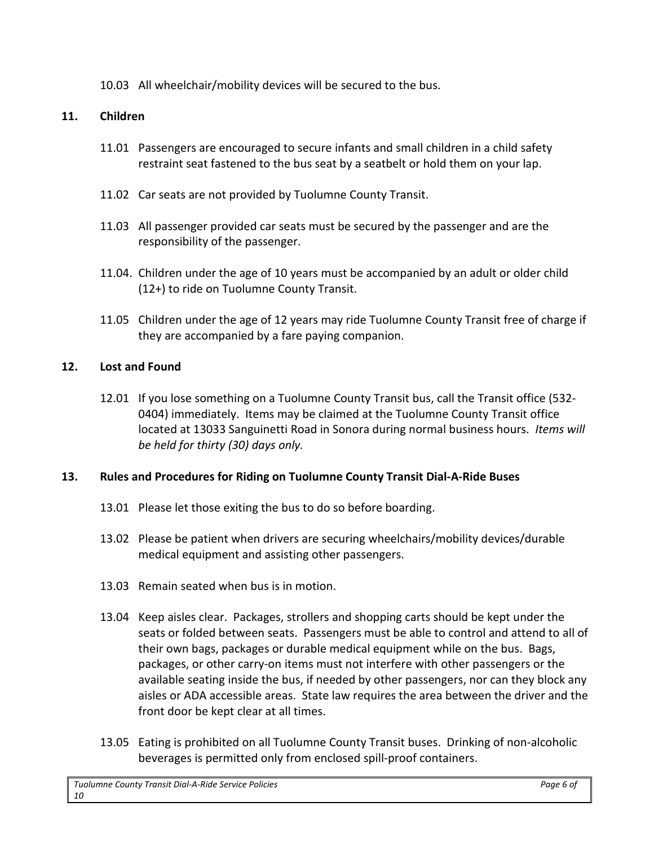10.03 All wheelchair/mobility devices will be secured to the bus.

# **11. Children**

- 11.01 Passengers are encouraged to secure infants and small children in a child safety restraint seat fastened to the bus seat by a seatbelt or hold them on your lap.
- 11.02 Car seats are not provided by Tuolumne County Transit.
- 11.03 All passenger provided car seats must be secured by the passenger and are the responsibility of the passenger.
- 11.04. Children under the age of 10 years must be accompanied by an adult or older child (12+) to ride on Tuolumne County Transit.
- 11.05 Children under the age of 12 years may ride Tuolumne County Transit free of charge if they are accompanied by a fare paying companion.

# **12. Lost and Found**

12.01 If you lose something on a Tuolumne County Transit bus, call the Transit office (532- 0404) immediately. Items may be claimed at the Tuolumne County Transit office located at 13033 Sanguinetti Road in Sonora during normal business hours. *Items will be held for thirty (30) days only.*

# **13. Rules and Procedures for Riding on Tuolumne County Transit Dial-A-Ride Buses**

- 13.01 Please let those exiting the bus to do so before boarding.
- 13.02 Please be patient when drivers are securing wheelchairs/mobility devices/durable medical equipment and assisting other passengers.
- 13.03 Remain seated when bus is in motion.
- 13.04 Keep aisles clear. Packages, strollers and shopping carts should be kept under the seats or folded between seats. Passengers must be able to control and attend to all of their own bags, packages or durable medical equipment while on the bus. Bags, packages, or other carry-on items must not interfere with other passengers or the available seating inside the bus, if needed by other passengers, nor can they block any aisles or ADA accessible areas. State law requires the area between the driver and the front door be kept clear at all times.
- 13.05 Eating is prohibited on all Tuolumne County Transit buses. Drinking of non-alcoholic beverages is permitted only from enclosed spill-proof containers.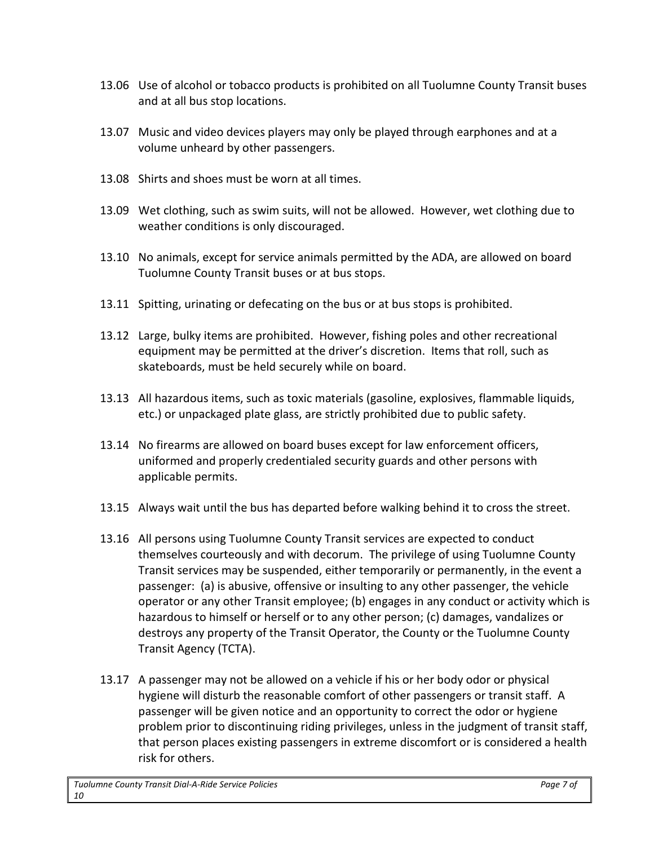- 13.06 Use of alcohol or tobacco products is prohibited on all Tuolumne County Transit buses and at all bus stop locations.
- 13.07 Music and video devices players may only be played through earphones and at a volume unheard by other passengers.
- 13.08 Shirts and shoes must be worn at all times.
- 13.09 Wet clothing, such as swim suits, will not be allowed. However, wet clothing due to weather conditions is only discouraged.
- 13.10 No animals, except for service animals permitted by the ADA, are allowed on board Tuolumne County Transit buses or at bus stops.
- 13.11 Spitting, urinating or defecating on the bus or at bus stops is prohibited.
- 13.12 Large, bulky items are prohibited. However, fishing poles and other recreational equipment may be permitted at the driver's discretion. Items that roll, such as skateboards, must be held securely while on board.
- 13.13 All hazardous items, such as toxic materials (gasoline, explosives, flammable liquids, etc.) or unpackaged plate glass, are strictly prohibited due to public safety.
- 13.14 No firearms are allowed on board buses except for law enforcement officers, uniformed and properly credentialed security guards and other persons with applicable permits.
- 13.15 Always wait until the bus has departed before walking behind it to cross the street.
- 13.16 All persons using Tuolumne County Transit services are expected to conduct themselves courteously and with decorum. The privilege of using Tuolumne County Transit services may be suspended, either temporarily or permanently, in the event a passenger: (a) is abusive, offensive or insulting to any other passenger, the vehicle operator or any other Transit employee; (b) engages in any conduct or activity which is hazardous to himself or herself or to any other person; (c) damages, vandalizes or destroys any property of the Transit Operator, the County or the Tuolumne County Transit Agency (TCTA).
- 13.17 A passenger may not be allowed on a vehicle if his or her body odor or physical hygiene will disturb the reasonable comfort of other passengers or transit staff. A passenger will be given notice and an opportunity to correct the odor or hygiene problem prior to discontinuing riding privileges, unless in the judgment of transit staff, that person places existing passengers in extreme discomfort or is considered a health risk for others.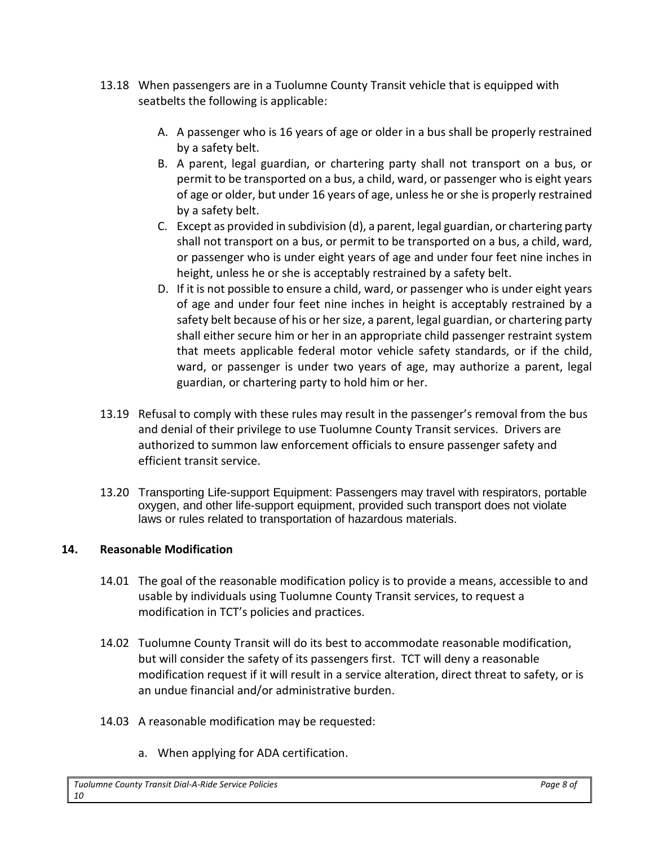- 13.18 When passengers are in a Tuolumne County Transit vehicle that is equipped with seatbelts the following is applicable:
	- A. A passenger who is 16 years of age or older in a bus shall be properly restrained by a safety belt.
	- B. A parent, legal guardian, or chartering party shall not transport on a bus, or permit to be transported on a bus, a child, ward, or passenger who is eight years of age or older, but under 16 years of age, unless he or she is properly restrained by a safety belt.
	- C. Except as provided in subdivision (d), a parent, legal guardian, or chartering party shall not transport on a bus, or permit to be transported on a bus, a child, ward, or passenger who is under eight years of age and under four feet nine inches in height, unless he or she is acceptably restrained by a safety belt.
	- D. If it is not possible to ensure a child, ward, or passenger who is under eight years of age and under four feet nine inches in height is acceptably restrained by a safety belt because of his or her size, a parent, legal guardian, or chartering party shall either secure him or her in an appropriate child passenger restraint system that meets applicable federal motor vehicle safety standards, or if the child, ward, or passenger is under two years of age, may authorize a parent, legal guardian, or chartering party to hold him or her.
- 13.19 Refusal to comply with these rules may result in the passenger's removal from the bus and denial of their privilege to use Tuolumne County Transit services. Drivers are authorized to summon law enforcement officials to ensure passenger safety and efficient transit service.
- 13.20 Transporting Life-support Equipment: Passengers may travel with respirators, portable oxygen, and other life-support equipment, provided such transport does not violate laws or rules related to transportation of hazardous materials.

# **14. Reasonable Modification**

- 14.01 The goal of the reasonable modification policy is to provide a means, accessible to and usable by individuals using Tuolumne County Transit services, to request a modification in TCT's policies and practices.
- 14.02 Tuolumne County Transit will do its best to accommodate reasonable modification, but will consider the safety of its passengers first. TCT will deny a reasonable modification request if it will result in a service alteration, direct threat to safety, or is an undue financial and/or administrative burden.
- 14.03 A reasonable modification may be requested:
	- a. When applying for ADA certification.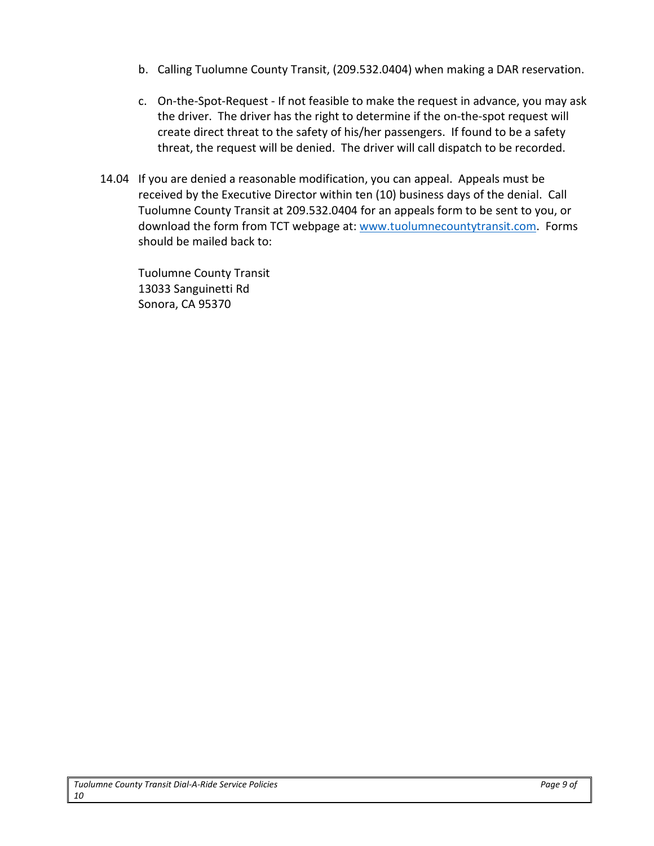- b. Calling Tuolumne County Transit, (209.532.0404) when making a DAR reservation.
- c. On-the-Spot-Request If not feasible to make the request in advance, you may ask the driver. The driver has the right to determine if the on-the-spot request will create direct threat to the safety of his/her passengers. If found to be a safety threat, the request will be denied. The driver will call dispatch to be recorded.
- 14.04 If you are denied a reasonable modification, you can appeal. Appeals must be received by the Executive Director within ten (10) business days of the denial. Call Tuolumne County Transit at 209.532.0404 for an appeals form to be sent to you, or download the form from TCT webpage at[: www.tuolumnecountytransit.com.](http://www.tuolumnecountytransit.com/) Forms should be mailed back to:

Tuolumne County Transit 13033 Sanguinetti Rd Sonora, CA 95370